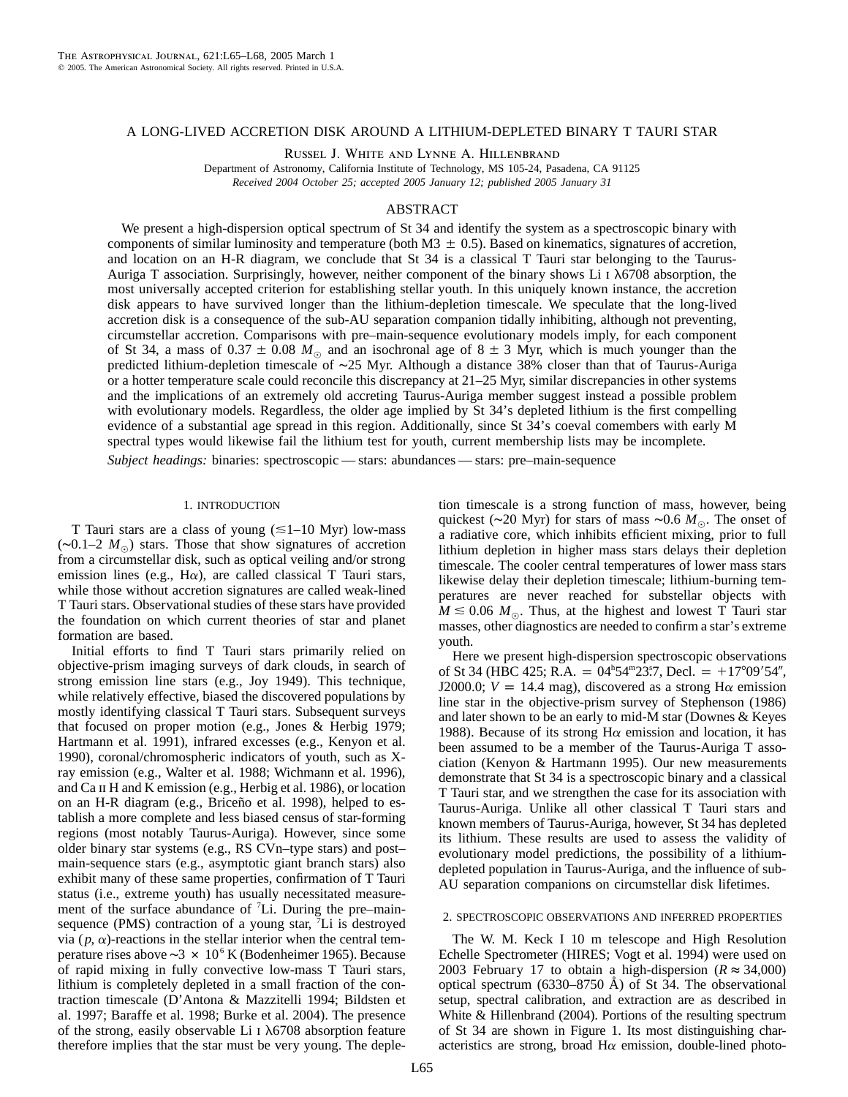## A LONG-LIVED ACCRETION DISK AROUND A LITHIUM-DEPLETED BINARY T TAURI STAR

Russel J. White and Lynne A. Hillenbrand

Department of Astronomy, California Institute of Technology, MS 105-24, Pasadena, CA 91125 *Received 2004 October 25; accepted 2005 January 12; published 2005 January 31*

# ABSTRACT

We present a high-dispersion optical spectrum of St 34 and identify the system as a spectroscopic binary with components of similar luminosity and temperature (both  $M3 \pm 0.5$ ). Based on kinematics, signatures of accretion, and location on an H-R diagram, we conclude that St 34 is a classical T Tauri star belonging to the Taurus-Auriga T association. Surprisingly, however, neither component of the binary shows Li  $\alpha$  1  $\lambda$ 6708 absorption, the most universally accepted criterion for establishing stellar youth. In this uniquely known instance, the accretion disk appears to have survived longer than the lithium-depletion timescale. We speculate that the long-lived accretion disk is a consequence of the sub-AU separation companion tidally inhibiting, although not preventing, circumstellar accretion. Comparisons with pre–main-sequence evolutionary models imply, for each component of St 34, a mass of  $0.37 \pm 0.08$   $M_{\odot}$  and an isochronal age of  $8 \pm 3$  Myr, which is much younger than the predicted lithium-depletion timescale of ∼25 Myr. Although a distance 38% closer than that of Taurus-Auriga or a hotter temperature scale could reconcile this discrepancy at 21–25 Myr, similar discrepancies in other systems and the implications of an extremely old accreting Taurus-Auriga member suggest instead a possible problem with evolutionary models. Regardless, the older age implied by St 34's depleted lithium is the first compelling evidence of a substantial age spread in this region. Additionally, since St 34's coeval comembers with early M spectral types would likewise fail the lithium test for youth, current membership lists may be incomplete.

*Subject headings:* binaries: spectroscopic — stars: abundances — stars: pre–main-sequence

### 1. INTRODUCTION

T Tauri stars are a class of young  $(\leq 1-10 \text{ Myr})$  low-mass (∼0.1–2 *M*,) stars. Those that show signatures of accretion from a circumstellar disk, such as optical veiling and/or strong emission lines (e.g.,  $H\alpha$ ), are called classical T Tauri stars, while those without accretion signatures are called weak-lined T Tauri stars. Observational studies of these stars have provided the foundation on which current theories of star and planet formation are based.

Initial efforts to find T Tauri stars primarily relied on objective-prism imaging surveys of dark clouds, in search of strong emission line stars (e.g., Joy 1949). This technique, while relatively effective, biased the discovered populations by mostly identifying classical T Tauri stars. Subsequent surveys that focused on proper motion (e.g., Jones & Herbig 1979; Hartmann et al. 1991), infrared excesses (e.g., Kenyon et al. 1990), coronal/chromospheric indicators of youth, such as Xray emission (e.g., Walter et al. 1988; Wichmann et al. 1996), and Ca ii H and K emission (e.g., Herbig et al. 1986), or location on an H-R diagram (e.g., Briceño et al. 1998), helped to establish a more complete and less biased census of star-forming regions (most notably Taurus-Auriga). However, since some older binary star systems (e.g., RS CVn–type stars) and post– main-sequence stars (e.g., asymptotic giant branch stars) also exhibit many of these same properties, confirmation of T Tauri status (i.e., extreme youth) has usually necessitated measurement of the surface abundance of <sup>7</sup>Li. During the pre-mainsequence (PMS) contraction of a young star,  $\bar{f}$ Li is destroyed via  $(p, \alpha)$ -reactions in the stellar interior when the central temperature rises above ∼3  $\times$  10<sup>6</sup> K (Bodenheimer 1965). Because of rapid mixing in fully convective low-mass T Tauri stars, lithium is completely depleted in a small fraction of the contraction timescale (D'Antona & Mazzitelli 1994; Bildsten et al. 1997; Baraffe et al. 1998; Burke et al. 2004). The presence of the strong, easily observable Li  $\overline{1}$   $\lambda$ 6708 absorption feature therefore implies that the star must be very young. The depletion timescale is a strong function of mass, however, being quickest (∼20 Myr) for stars of mass ∼0.6  $M_{\odot}$ . The onset of a radiative core, which inhibits efficient mixing, prior to full lithium depletion in higher mass stars delays their depletion timescale. The cooler central temperatures of lower mass stars likewise delay their depletion timescale; lithium-burning temperatures are never reached for substellar objects with  $M \leq 0.06$   $M_{\odot}$ . Thus, at the highest and lowest T Tauri star masses, other diagnostics are needed to confirm a star's extreme youth.

Here we present high-dispersion spectroscopic observations of St 34 (HBC 425; R.A. =  $04^{\text{h}}54^{\text{m}}23\degree7$ , Decl. = +17°09'54", J2000.0;  $V = 14.4$  mag), discovered as a strong H $\alpha$  emission line star in the objective-prism survey of Stephenson (1986) and later shown to be an early to mid-M star (Downes & Keyes 1988). Because of its strong  $H\alpha$  emission and location, it has been assumed to be a member of the Taurus-Auriga T association (Kenyon & Hartmann 1995). Our new measurements demonstrate that St 34 is a spectroscopic binary and a classical T Tauri star, and we strengthen the case for its association with Taurus-Auriga. Unlike all other classical T Tauri stars and known members of Taurus-Auriga, however, St 34 has depleted its lithium. These results are used to assess the validity of evolutionary model predictions, the possibility of a lithiumdepleted population in Taurus-Auriga, and the influence of sub-AU separation companions on circumstellar disk lifetimes.

## 2. SPECTROSCOPIC OBSERVATIONS AND INFERRED PROPERTIES

The W. M. Keck I 10 m telescope and High Resolution Echelle Spectrometer (HIRES; Vogt et al. 1994) were used on 2003 February 17 to obtain a high-dispersion ( $R \approx 34,000$ ) optical spectrum (6330–8750 Å) of St 34. The observational setup, spectral calibration, and extraction are as described in White & Hillenbrand (2004). Portions of the resulting spectrum of St 34 are shown in Figure 1. Its most distinguishing characteristics are strong, broad  $H\alpha$  emission, double-lined photo-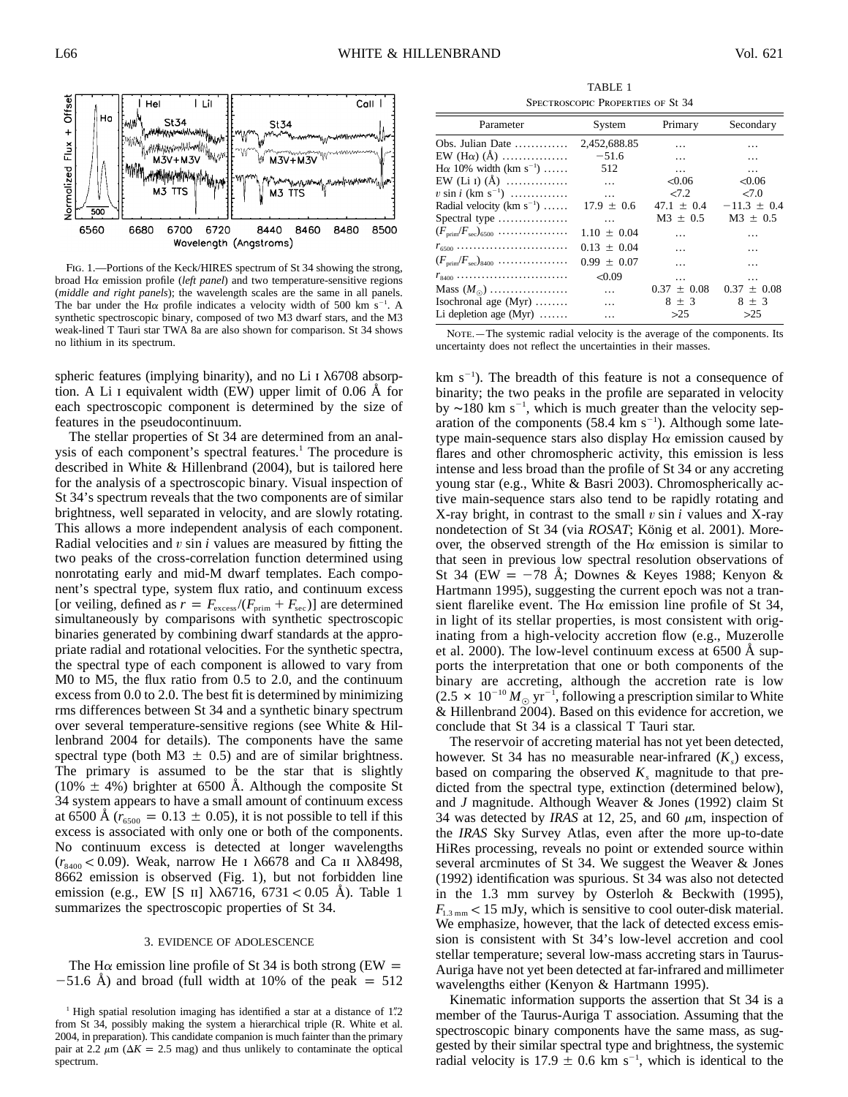

Fig. 1.—Portions of the Keck/HIRES spectrum of St 34 showing the strong, broad Ha emission profile (*left panel*) and two temperature-sensitive regions (*middle and right panels*); the wavelength scales are the same in all panels. The bar under the H $\alpha$  profile indicates a velocity width of 500 km s<sup>-1</sup> . A synthetic spectroscopic binary, composed of two M3 dwarf stars, and the M3 weak-lined T Tauri star TWA 8a are also shown for comparison. St 34 shows no lithium in its spectrum.

spheric features (implying binarity), and no Li  $\overline{1}$   $\lambda$ 6708 absorption. A Li I equivalent width (EW) upper limit of  $0.06 \text{ Å}$  for each spectroscopic component is determined by the size of features in the pseudocontinuum.

The stellar properties of St 34 are determined from an analysis of each component's spectral features.<sup>1</sup> The procedure is described in White & Hillenbrand (2004), but is tailored here for the analysis of a spectroscopic binary. Visual inspection of St 34's spectrum reveals that the two components are of similar brightness, well separated in velocity, and are slowly rotating. This allows a more independent analysis of each component. Radial velocities and v sin *i* values are measured by fitting the two peaks of the cross-correlation function determined using nonrotating early and mid-M dwarf templates. Each component's spectral type, system flux ratio, and continuum excess [or veiling, defined as  $r = F_{\text{excess}}/(F_{\text{prim}} + F_{\text{sec}})$ ] are determined simultaneously by comparisons with synthetic spectroscopic binaries generated by combining dwarf standards at the appropriate radial and rotational velocities. For the synthetic spectra, the spectral type of each component is allowed to vary from M0 to M5, the flux ratio from 0.5 to 2.0, and the continuum excess from 0.0 to 2.0. The best fit is determined by minimizing rms differences between St 34 and a synthetic binary spectrum over several temperature-sensitive regions (see White & Hillenbrand 2004 for details). The components have the same spectral type (both M3  $\pm$  0.5) and are of similar brightness. The primary is assumed to be the star that is slightly  $(10\% \pm 4\%)$  brighter at 6500 Å. Although the composite St 34 system appears to have a small amount of continuum excess at 6500 Å  $(r_{6500} = 0.13 \pm 0.05)$ , it is not possible to tell if this excess is associated with only one or both of the components. No continuum excess is detected at longer wavelengths  $(r_{\rm 8.400} < 0.09)$ . Weak, narrow He *I*  $\lambda$ 6678 and Ca II  $\lambda$  $\lambda$ 8498, 8662 emission is observed (Fig. 1), but not forbidden line emission (e.g., EW [S II]  $\lambda\lambda$ 6716, 6731 < 0.05 Å). Table 1 summarizes the spectroscopic properties of St 34.

### 3. EVIDENCE OF ADOLESCENCE

The H $\alpha$  emission line profile of St 34 is both strong (EW =  $-51.6$  Å) and broad (full width at 10% of the peak  $= 512$ 

TABLE 1 Spectroscopic Properties of St 34

| Parameter                                                                    | System           | Primary         | Secondary       |
|------------------------------------------------------------------------------|------------------|-----------------|-----------------|
| Obs. Julian Date                                                             | 2,452,688.85     | $\ddotsc$       | .               |
| EW (H $\alpha$ ) (Å)                                                         | $-51.6$          | $\cdots$        | $\cdots$        |
| $H\alpha$ 10% width (km s <sup>-1</sup> )                                    | 512              | $\ldots$        | $\cdots$        |
| EW (Li I) (Å)                                                                | $\cdots$         | < 0.06          | < 0.06          |
| $v \sin i$ (km s <sup>-1</sup> )                                             | $\sim$ 100 $\mu$ | $2 - 7.2$       | 27.0            |
| Radial velocity (km $s^{-1}$ )                                               | $17.9 \pm 0.6$   | $47.1 \pm 0.4$  | $-11.3 \pm 0.4$ |
| Spectral type $\dots\dots\dots\dots\dots$                                    | $\cdots$         | $M_3$ + 0.5     | $M3 \pm 0.5$    |
| $(F_{\text{prim}}/F_{\text{sec}})_{6500}$                                    | $1.10 \pm 0.04$  | $\cdots$        | .               |
| $r_{6500}$                                                                   | $0.13 + 0.04$    | $\cdots$        | $\cdots$        |
| $(F_{\text{prim}}/F_{\text{sec}})_{8400} \ldots \ldots \ldots \ldots \ldots$ | $0.99 + 0.07$    | $\ddotsc$       | .               |
| $r_{8400}$                                                                   | < 0.09           | $\cdots$        | $\cdots$        |
| Mass $(M_{\odot})$                                                           | $\cdots$         | $0.37 \pm 0.08$ | $0.37 \pm 0.08$ |
| Isochronal age $(Myr)$                                                       | $\cdots$         | $8 \pm 3$       | $8 + 3$         |
| Li depletion age $(Myr)$                                                     | .                | >25             | >25             |

NOTE. - The systemic radial velocity is the average of the components. Its uncertainty does not reflect the uncertainties in their masses.

 $km s<sup>-1</sup>$ ). The breadth of this feature is not a consequence of binarity; the two peaks in the profile are separated in velocity by ~180 km s<sup>-1</sup>, which is much greater than the velocity separation of the components  $(58.4 \text{ km s}^{-1})$ . Although some latetype main-sequence stars also display  $H\alpha$  emission caused by flares and other chromospheric activity, this emission is less intense and less broad than the profile of St 34 or any accreting young star (e.g., White & Basri 2003). Chromospherically active main-sequence stars also tend to be rapidly rotating and X-ray bright, in contrast to the small  $v \sin i$  values and X-ray nondetection of St 34 (via *ROSAT*; König et al. 2001). Moreover, the observed strength of the  $H\alpha$  emission is similar to that seen in previous low spectral resolution observations of St 34 (EW  $=$  -78 Å; Downes & Keyes 1988; Kenyon & Hartmann 1995), suggesting the current epoch was not a transient flarelike event. The H $\alpha$  emission line profile of St 34, in light of its stellar properties, is most consistent with originating from a high-velocity accretion flow (e.g., Muzerolle et al. 2000). The low-level continuum excess at  $6500 \text{ Å}$  supports the interpretation that one or both components of the binary are accreting, although the accretion rate is low  $(2.5 \times 10^{-10} M_{\odot} \text{ yr}^{-1})$ , following a prescription similar to White & Hillenbrand  $2004$ ). Based on this evidence for accretion, we conclude that St 34 is a classical T Tauri star.

The reservoir of accreting material has not yet been detected, however. St 34 has no measurable near-infrared  $(K<sub>s</sub>)$  excess, based on comparing the observed  $K_s$  magnitude to that predicted from the spectral type, extinction (determined below), and *J* magnitude. Although Weaver & Jones (1992) claim St 34 was detected by *IRAS* at 12, 25, and 60  $\mu$ m, inspection of the *IRAS* Sky Survey Atlas, even after the more up-to-date HiRes processing, reveals no point or extended source within several arcminutes of St 34. We suggest the Weaver & Jones (1992) identification was spurious. St 34 was also not detected in the 1.3 mm survey by Osterloh & Beckwith (1995),  $F_{13 \text{mm}} < 15 \text{ mJy}$ , which is sensitive to cool outer-disk material. We emphasize, however, that the lack of detected excess emission is consistent with St 34's low-level accretion and cool stellar temperature; several low-mass accreting stars in Taurus-Auriga have not yet been detected at far-infrared and millimeter wavelengths either (Kenyon & Hartmann 1995).

Kinematic information supports the assertion that St 34 is a member of the Taurus-Auriga T association. Assuming that the spectroscopic binary components have the same mass, as suggested by their similar spectral type and brightness, the systemic radial velocity is 17.9  $\pm$  0.6 km s<sup>-1</sup>, which is identical to the

<sup>&</sup>lt;sup>1</sup> High spatial resolution imaging has identified a star at a distance of 1".2 from St 34, possibly making the system a hierarchical triple (R. White et al. 2004, in preparation). This candidate companion is much fainter than the primary pair at 2.2  $\mu$ m ( $\Delta K = 2.5$  mag) and thus unlikely to contaminate the optical spectrum.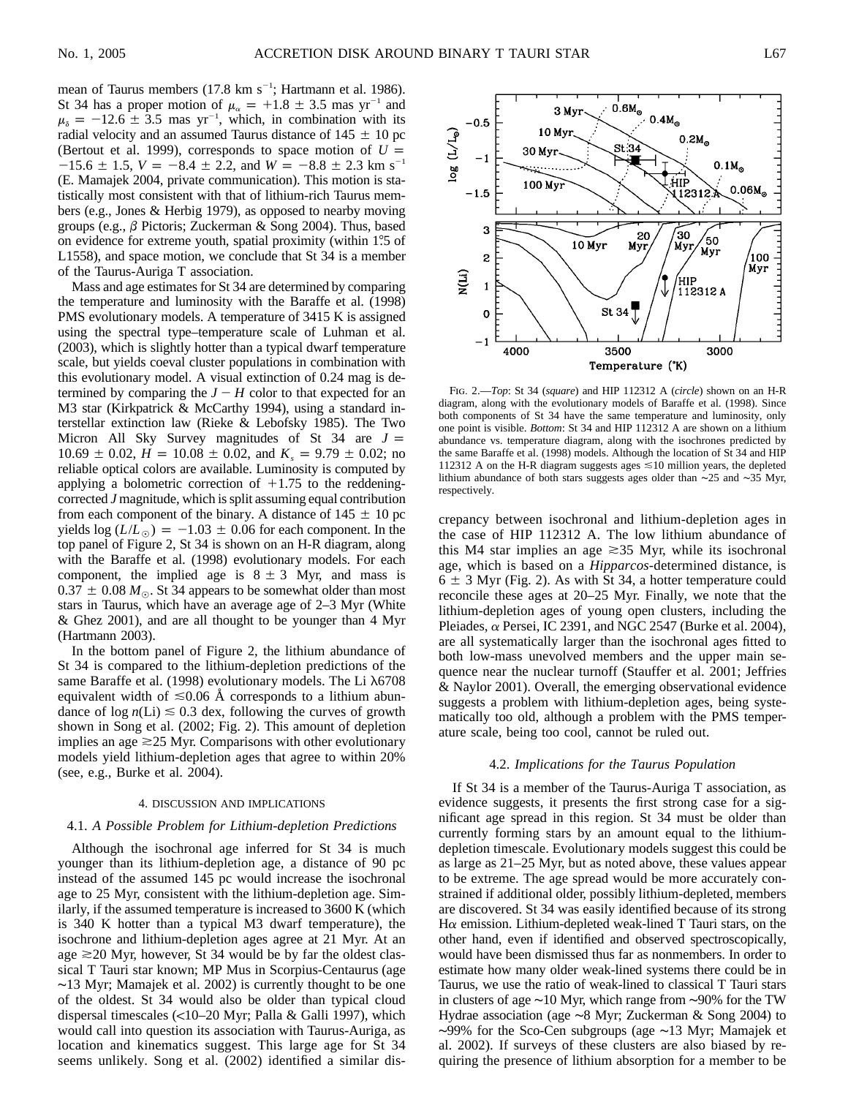mean of Taurus members  $(17.8 \text{ km s}^{-1})$ ; Hartmann et al. 1986). St 34 has a proper motion of  $\mu_{\alpha} = +1.8 \pm 3.5$  mas yr<sup>-1</sup> and  $\mu_{\delta} = -12.6 \pm 3.5$  mas yr<sup>-1</sup>, which, in combination with its radial velocity and an assumed Taurus distance of  $145 \pm 10$  pc (Bertout et al. 1999), corresponds to space motion of  $U =$  $-15.6 \pm 1.5$ ,  $V = -8.4 \pm 2.2$ , and  $W = -8.8 \pm 2.3$  km s<sup>-1</sup> (E. Mamajek 2004, private communication). This motion is statistically most consistent with that of lithium-rich Taurus members (e.g., Jones & Herbig 1979), as opposed to nearby moving groups (e.g.,  $\beta$  Pictoris; Zuckerman & Song 2004). Thus, based on evidence for extreme youth, spatial proximity (within 1.5 of L1558), and space motion, we conclude that St 34 is a member of the Taurus-Auriga T association.

Mass and age estimates for St 34 are determined by comparing the temperature and luminosity with the Baraffe et al. (1998) PMS evolutionary models. A temperature of 3415 K is assigned using the spectral type–temperature scale of Luhman et al. (2003), which is slightly hotter than a typical dwarf temperature scale, but yields coeval cluster populations in combination with this evolutionary model. A visual extinction of 0.24 mag is determined by comparing the  $J - H$  color to that expected for an M3 star (Kirkpatrick & McCarthy 1994), using a standard interstellar extinction law (Rieke & Lebofsky 1985). The Two Micron All Sky Survey magnitudes of St  $34$  are  $J =$  $10.69 \pm 0.02$ ,  $\dot{H} = 10.08 \pm 0.02$ , and  $K_s = 9.79 \pm 0.02$ ; no reliable optical colors are available. Luminosity is computed by applying a bolometric correction of  $+1.75$  to the reddeningcorrected *J* magnitude, which is split assuming equal contribution from each component of the binary. A distance of  $145 \pm 10$  pc yields  $log (L/L_{\odot}) = -1.03 \pm 0.06$  for each component. In the top panel of Figure 2, St 34 is shown on an H-R diagram, along with the Baraffe et al. (1998) evolutionary models. For each component, the implied age is  $8 \pm 3$  Myr, and mass is  $0.37 \pm 0.08$   $M_{\odot}$ . St 34 appears to be somewhat older than most stars in Taurus, which have an average age of 2–3 Myr (White & Ghez 2001), and are all thought to be younger than 4 Myr (Hartmann 2003).

In the bottom panel of Figure 2, the lithium abundance of St 34 is compared to the lithium-depletion predictions of the same Baraffe et al. (1998) evolutionary models. The Li  $\lambda$ 6708 equivalent width of  $\leq 0.06$  Å corresponds to a lithium abundance of  $log n(Li) \leq 0.3$  dex, following the curves of growth shown in Song et al. (2002; Fig. 2). This amount of depletion implies an age  $\geq$  25 Myr. Comparisons with other evolutionary models yield lithium-depletion ages that agree to within 20% (see, e.g., Burke et al. 2004).

#### 4. DISCUSSION AND IMPLICATIONS

#### 4.1. *A Possible Problem for Lithium-depletion Predictions*

Although the isochronal age inferred for St 34 is much younger than its lithium-depletion age, a distance of 90 pc instead of the assumed 145 pc would increase the isochronal age to 25 Myr, consistent with the lithium-depletion age. Similarly, if the assumed temperature is increased to 3600 K (which is 340 K hotter than a typical M3 dwarf temperature), the isochrone and lithium-depletion ages agree at 21 Myr. At an age  $\geq$  20 Myr, however, St 34 would be by far the oldest classical T Tauri star known; MP Mus in Scorpius-Centaurus (age ∼13 Myr; Mamajek et al. 2002) is currently thought to be one of the oldest. St 34 would also be older than typical cloud dispersal timescales  $\left($  <10–20 Myr; Palla & Galli 1997), which would call into question its association with Taurus-Auriga, as location and kinematics suggest. This large age for St 34 seems unlikely. Song et al. (2002) identified a similar dis-



Fig. 2.—*Top*: St 34 (*square*) and HIP 112312 A (*circle*) shown on an H-R diagram, along with the evolutionary models of Baraffe et al. (1998). Since both components of St 34 have the same temperature and luminosity, only one point is visible. *Bottom*: St 34 and HIP 112312 A are shown on a lithium abundance vs. temperature diagram, along with the isochrones predicted by the same Baraffe et al. (1998) models. Although the location of St 34 and HIP 112312 A on the H-R diagram suggests ages  $\leq 10$  million years, the depleted lithium abundance of both stars suggests ages older than ∼25 and ∼35 Myr, respectively.

crepancy between isochronal and lithium-depletion ages in the case of HIP 112312 A. The low lithium abundance of this M4 star implies an age  $\geq 35$  Myr, while its isochronal age, which is based on a *Hipparcos*-determined distance, is  $6 \pm 3$  Myr (Fig. 2). As with St 34, a hotter temperature could reconcile these ages at 20–25 Myr. Finally, we note that the lithium-depletion ages of young open clusters, including the Pleiades,  $\alpha$  Persei, IC 2391, and NGC 2547 (Burke et al. 2004), are all systematically larger than the isochronal ages fitted to both low-mass unevolved members and the upper main sequence near the nuclear turnoff (Stauffer et al. 2001; Jeffries & Naylor 2001). Overall, the emerging observational evidence suggests a problem with lithium-depletion ages, being systematically too old, although a problem with the PMS temperature scale, being too cool, cannot be ruled out.

## 4.2. *Implications for the Taurus Population*

If St 34 is a member of the Taurus-Auriga T association, as evidence suggests, it presents the first strong case for a significant age spread in this region. St 34 must be older than currently forming stars by an amount equal to the lithiumdepletion timescale. Evolutionary models suggest this could be as large as 21–25 Myr, but as noted above, these values appear to be extreme. The age spread would be more accurately constrained if additional older, possibly lithium-depleted, members are discovered. St 34 was easily identified because of its strong  $H\alpha$  emission. Lithium-depleted weak-lined T Tauri stars, on the other hand, even if identified and observed spectroscopically, would have been dismissed thus far as nonmembers. In order to estimate how many older weak-lined systems there could be in Taurus, we use the ratio of weak-lined to classical T Tauri stars in clusters of age ∼10 Myr, which range from ∼90% for the TW Hydrae association (age ∼8 Myr; Zuckerman & Song 2004) to ∼99% for the Sco-Cen subgroups (age ∼13 Myr; Mamajek et al. 2002). If surveys of these clusters are also biased by requiring the presence of lithium absorption for a member to be